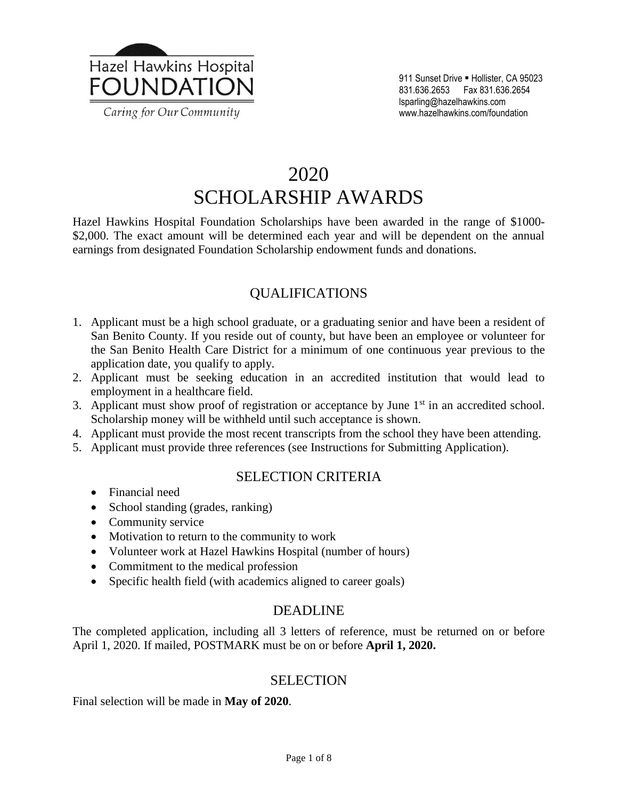

# 2020 SCHOLARSHIP AWARDS

Hazel Hawkins Hospital Foundation Scholarships have been awarded in the range of \$1000- \$2,000. The exact amount will be determined each year and will be dependent on the annual earnings from designated Foundation Scholarship endowment funds and donations.

### QUALIFICATIONS

- 1. Applicant must be a high school graduate, or a graduating senior and have been a resident of San Benito County. If you reside out of county, but have been an employee or volunteer for the San Benito Health Care District for a minimum of one continuous year previous to the application date, you qualify to apply.
- 2. Applicant must be seeking education in an accredited institution that would lead to employment in a healthcare field.
- 3. Applicant must show proof of registration or acceptance by June  $1<sup>st</sup>$  in an accredited school. Scholarship money will be withheld until such acceptance is shown.
- 4. Applicant must provide the most recent transcripts from the school they have been attending.
- 5. Applicant must provide three references (see Instructions for Submitting Application).

### SELECTION CRITERIA

- Financial need
- School standing (grades, ranking)
- Community service
- Motivation to return to the community to work
- Volunteer work at Hazel Hawkins Hospital (number of hours)
- Commitment to the medical profession
- Specific health field (with academics aligned to career goals)

### DEADLINE

The completed application, including all 3 letters of reference, must be returned on or before April 1, 2020. If mailed, POSTMARK must be on or before **April 1, 2020.**

#### SELECTION

Final selection will be made in **May of 2020**.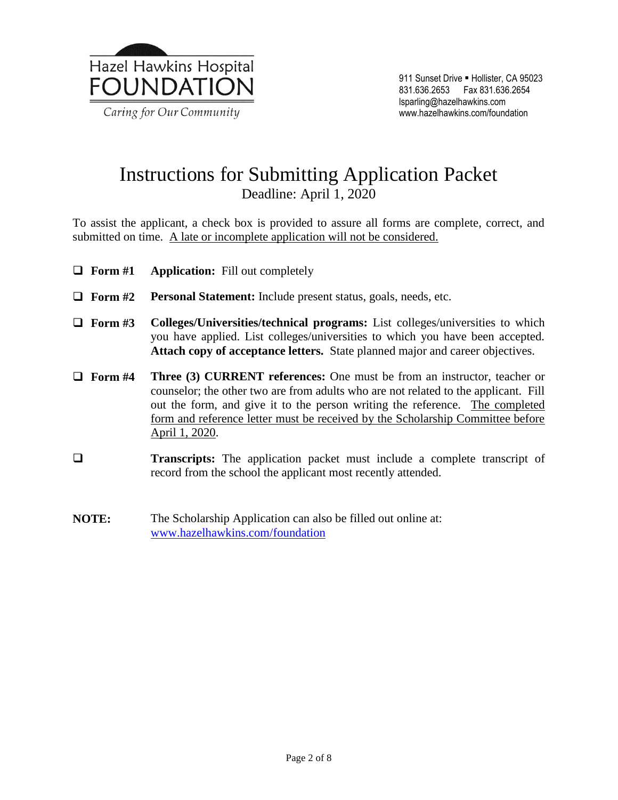

### Instructions for Submitting Application Packet Deadline: April 1, 2020

To assist the applicant, a check box is provided to assure all forms are complete, correct, and submitted on time. A late or incomplete application will not be considered.

- **Form #1 Application:** Fill out completely
- **Form #2 Personal Statement:** Include present status, goals, needs, etc.
- **Form #3 Colleges/Universities/technical programs:** List colleges/universities to which you have applied. List colleges/universities to which you have been accepted. **Attach copy of acceptance letters.** State planned major and career objectives.
- **Form #4 Three (3) CURRENT references:** One must be from an instructor, teacher or counselor; the other two are from adults who are not related to the applicant. Fill out the form, and give it to the person writing the reference. The completed form and reference letter must be received by the Scholarship Committee before April 1, 2020.
- **Transcripts:** The application packet must include a complete transcript of record from the school the applicant most recently attended.
- **NOTE:** The Scholarship Application can also be filled out online at: [www.hazelhawkins.com/foundation](http://www.hazelhawkins.com/foundation)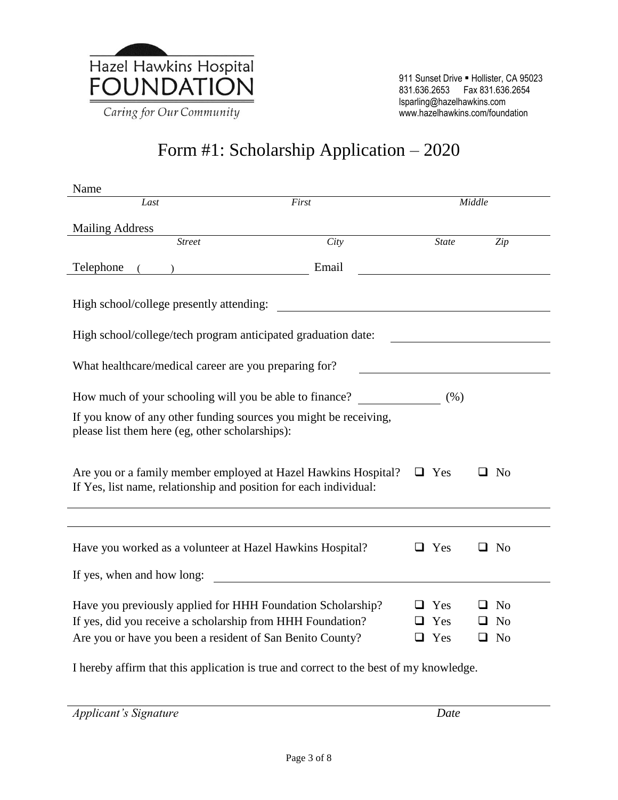

# Form #1: Scholarship Application – 2020

| Name                                                                                                                                           |       |  |              |   |                |  |  |
|------------------------------------------------------------------------------------------------------------------------------------------------|-------|--|--------------|---|----------------|--|--|
| Last                                                                                                                                           | First |  | Middle       |   |                |  |  |
| <b>Mailing Address</b>                                                                                                                         |       |  |              |   |                |  |  |
| $\overline{Street}$                                                                                                                            | City  |  | <b>State</b> |   | Zip            |  |  |
| Telephone                                                                                                                                      | Email |  |              |   |                |  |  |
| High school/college presently attending:                                                                                                       |       |  |              |   |                |  |  |
| High school/college/tech program anticipated graduation date:                                                                                  |       |  |              |   |                |  |  |
| What healthcare/medical career are you preparing for?                                                                                          |       |  |              |   |                |  |  |
| How much of your schooling will you be able to finance?                                                                                        |       |  | (% )         |   |                |  |  |
| If you know of any other funding sources you might be receiving,<br>please list them here (eg, other scholarships):                            |       |  |              |   |                |  |  |
| Are you or a family member employed at Hazel Hawkins Hospital? $\Box$ Yes<br>If Yes, list name, relationship and position for each individual: |       |  |              |   | N <sub>0</sub> |  |  |
|                                                                                                                                                |       |  |              |   |                |  |  |
| Have you worked as a volunteer at Hazel Hawkins Hospital?                                                                                      |       |  | Yes          | ப | N <sub>0</sub> |  |  |
| If yes, when and how long:                                                                                                                     |       |  |              |   |                |  |  |
| Have you previously applied for HHH Foundation Scholarship?                                                                                    |       |  | $\Box$ Yes   |   | N <sub>0</sub> |  |  |
| If yes, did you receive a scholarship from HHH Foundation?                                                                                     |       |  | Yes          |   | N <sub>0</sub> |  |  |
| Are you or have you been a resident of San Benito County?                                                                                      |       |  | $\Box$ Yes   | ப | N <sub>o</sub> |  |  |
| I hereby affirm that this application is true and correct to the best of my knowledge.                                                         |       |  |              |   |                |  |  |

*Applicant's Signature Date*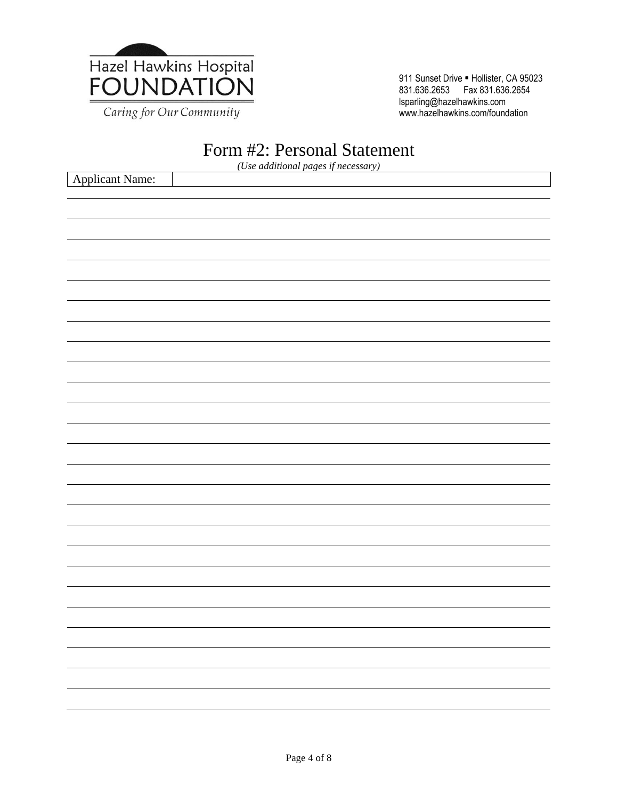

Caring for Our Community

911 Sunset Drive · Hollister, CA 95023 831.636.2653 Fax 831.636.2654 lsparling@hazelhawkins.com www.hazelhawkins.com/foundation

### Form #2: Personal Statement

*(Use additional pages if necessary)*

| Applicant Name: |  |                          |
|-----------------|--|--------------------------|
|                 |  |                          |
|                 |  |                          |
|                 |  |                          |
|                 |  |                          |
|                 |  |                          |
|                 |  |                          |
|                 |  |                          |
|                 |  |                          |
|                 |  |                          |
|                 |  |                          |
|                 |  |                          |
|                 |  |                          |
|                 |  |                          |
|                 |  |                          |
|                 |  |                          |
|                 |  |                          |
|                 |  |                          |
|                 |  |                          |
|                 |  |                          |
|                 |  |                          |
|                 |  |                          |
|                 |  | $\overline{\phantom{0}}$ |
|                 |  | $\overline{\phantom{0}}$ |
|                 |  |                          |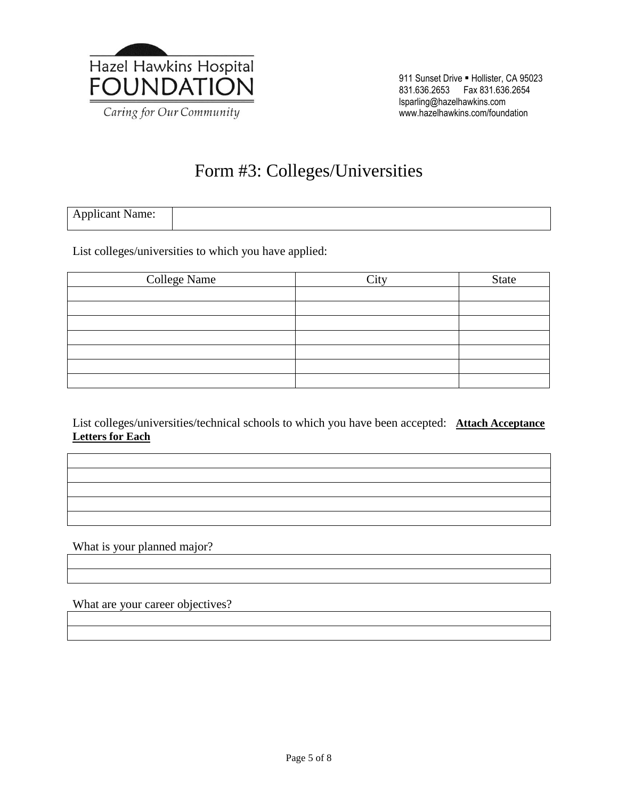

# Form #3: Colleges/Universities

| <b>Applicant Name:</b> |  |
|------------------------|--|

List colleges/universities to which you have applied:

| <b>College Name</b> | City | <b>State</b> |
|---------------------|------|--------------|
|                     |      |              |
|                     |      |              |
|                     |      |              |
|                     |      |              |
|                     |      |              |
|                     |      |              |
|                     |      |              |

List colleges/universities/technical schools to which you have been accepted: **Attach Acceptance Letters for Each**

What is your planned major?

What are your career objectives?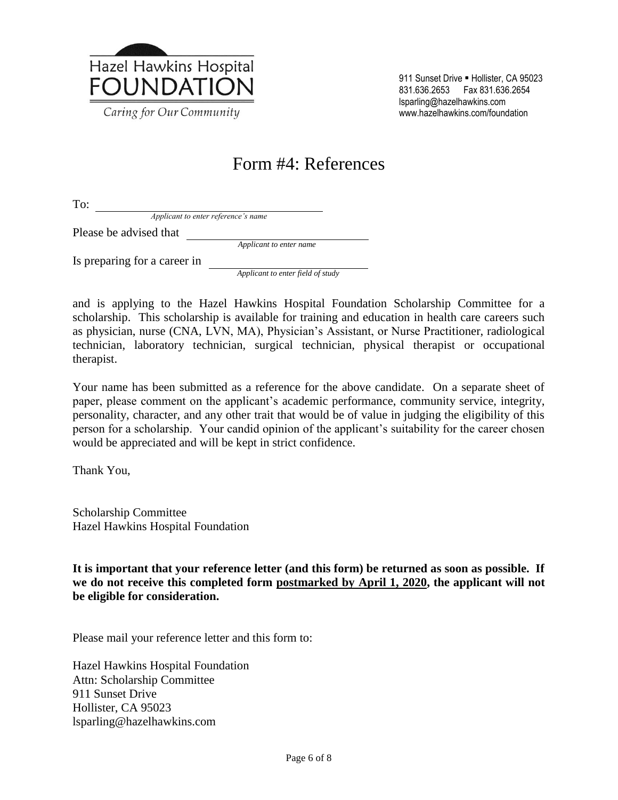

911 Sunset Drive · Hollister, CA 95023 831.636.2653 Fax 831.636.2654 lsparling@hazelhawkins.com www.hazelhawkins.com/foundation

## Form #4: References

To:

*Applicant to enter reference's name*

Please be advised that

*Applicant to enter name*

Is preparing for a career in

*Applicant to enter field of study*

and is applying to the Hazel Hawkins Hospital Foundation Scholarship Committee for a scholarship. This scholarship is available for training and education in health care careers such as physician, nurse (CNA, LVN, MA), Physician's Assistant, or Nurse Practitioner, radiological technician, laboratory technician, surgical technician, physical therapist or occupational therapist.

Your name has been submitted as a reference for the above candidate. On a separate sheet of paper, please comment on the applicant's academic performance, community service, integrity, personality, character, and any other trait that would be of value in judging the eligibility of this person for a scholarship. Your candid opinion of the applicant's suitability for the career chosen would be appreciated and will be kept in strict confidence.

Thank You,

Scholarship Committee Hazel Hawkins Hospital Foundation

**It is important that your reference letter (and this form) be returned as soon as possible. If we do not receive this completed form postmarked by April 1, 2020, the applicant will not be eligible for consideration.**

Please mail your reference letter and this form to:

Hazel Hawkins Hospital Foundation Attn: Scholarship Committee 911 Sunset Drive Hollister, CA 95023 lsparling@hazelhawkins.com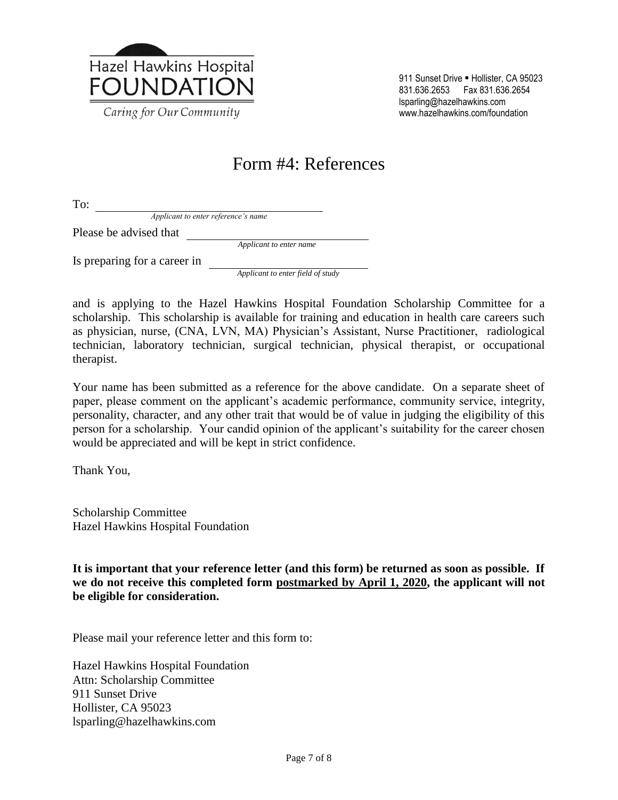

911 Sunset Drive · Hollister, CA 95023 831.636.2653 Fax 831.636.2654 lsparling@hazelhawkins.com www.hazelhawkins.com/foundation

## Form #4: References

To:

*Applicant to enter reference's name*

Please be advised that

*Applicant to enter name*

Is preparing for a career in

*Applicant to enter field of study*

and is applying to the Hazel Hawkins Hospital Foundation Scholarship Committee for a scholarship. This scholarship is available for training and education in health care careers such as physician, nurse, (CNA, LVN, MA) Physician's Assistant, Nurse Practitioner, radiological technician, laboratory technician, surgical technician, physical therapist, or occupational therapist.

Your name has been submitted as a reference for the above candidate. On a separate sheet of paper, please comment on the applicant's academic performance, community service, integrity, personality, character, and any other trait that would be of value in judging the eligibility of this person for a scholarship. Your candid opinion of the applicant's suitability for the career chosen would be appreciated and will be kept in strict confidence.

Thank You,

Scholarship Committee Hazel Hawkins Hospital Foundation

**It is important that your reference letter (and this form) be returned as soon as possible. If we do not receive this completed form postmarked by April 1, 2020, the applicant will not be eligible for consideration.**

Please mail your reference letter and this form to:

Hazel Hawkins Hospital Foundation Attn: Scholarship Committee 911 Sunset Drive Hollister, CA 95023 lsparling@hazelhawkins.com